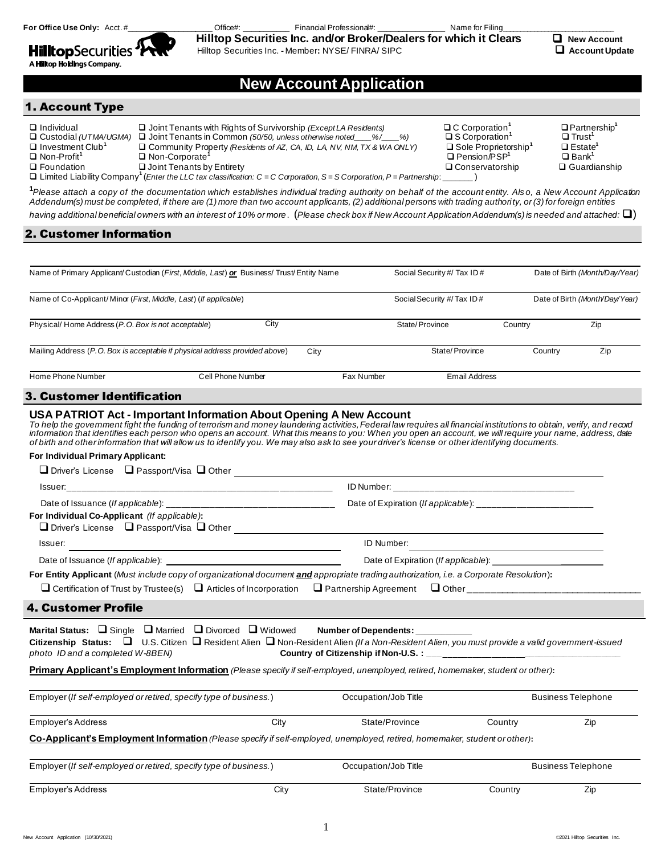**HilltopSecurities** 

For Office Use Only: Acct. #\_\_\_\_\_\_\_\_\_\_\_\_\_\_\_\_\_\_\_\_\_\_\_\_\_Office#: \_\_\_\_\_\_\_\_\_\_\_\_\_\_\_\_\_\_\_ Financial Professional#: \_\_\_\_\_\_\_\_\_\_\_\_\_\_\_\_\_\_\_\_\_\_\_\_ Name for Filing

Hilltop Securities Inc. **-** Member**:** NYSE/ FINRA/ SIPC❑ **Account Update**



# **New Account Application**

# 1. Account Type

A Hilltop Holdings Company.

| $\Box$ Individual<br>$\Box$ Custodial (UTMA/UGMA)   | $\Box$ Joint Tenants with Rights of Survivorship ( <i>Except LA Residents</i> )<br>$\Box$ Joint Tenants in Common (50/50, unless otherwise noted<br>$\frac{9}{6}$ / $\frac{9}{6}$ | $\Box$ C Corporation <sup>1</sup><br>$\square$ S Corporation <sup>1</sup> | $\Box$ Partnership <sup>1</sup><br>$\Box$ Trust <sup>1</sup> |
|-----------------------------------------------------|-----------------------------------------------------------------------------------------------------------------------------------------------------------------------------------|---------------------------------------------------------------------------|--------------------------------------------------------------|
| $\Box$ Investment Club <sup>1</sup><br>□ Non-Profit | Community Property (Residents of AZ, CA, ID, LA, NV, NM, TX & WA ONLY)<br>Non-Corporate <sup>1</sup>                                                                              | $\Box$ Sole Proprietorship <sup>1</sup><br>□ Pension/PSP'                 | $\Box$ Estate <sup>'</sup><br>$\Box$ Bank <sup>1</sup>       |
| $\Box$ Foundation                                   | $\Box$ Joint Tenants by Entirety                                                                                                                                                  | $\Box$ Conservatorship                                                    | □ Guardianship                                               |
|                                                     | $\Box$ Limited Liability Company <sup>1</sup> (Enter the LLC tax classification: C = C Corporation, S = S Corporation, P = Partnership:                                           |                                                                           |                                                              |

**<sup>1</sup>***Please attach a copy of the documentation which establishes individual trading authority on behalf of the account entity. Als o, a New Account Application Addendum(s) must be completed, if there are (1) more than two account applicants, (2) additional persons with trading authority, or (3) for foreign entities having additional beneficial owners with an interest of 10% or more*. (*Please check box if New Account Application Addendum(s) is needed and attached:* ❑)

# 2. Customer Information

| Name of Primary Applicant/Custodian (First, Middle, Last) or Business/ Trust/Entity Name | Social Security #/ Tax ID # | Date of Birth (Month/Day/Year) |            |                             |         |                                |
|------------------------------------------------------------------------------------------|-----------------------------|--------------------------------|------------|-----------------------------|---------|--------------------------------|
| Name of Co-Applicant/Minor (First, Middle, Last) (If applicable)                         |                             |                                |            | Social Security #/ Tax ID # |         | Date of Birth (Month/Day/Year) |
| Physical/Home Address (P.O. Box is not acceptable)                                       | City                        |                                |            | State/Province              | Country | Zip                            |
| Mailing Address (P.O. Box is acceptable if physical address provided above)              |                             | City                           |            | State/Province              | Country | Zip                            |
| Home Phone Number                                                                        | Cell Phone Number           |                                | Fax Number | Email Address               |         |                                |

# 3. Customer Identification

#### **USA PATRIOT Act - Important Information About Opening A New Account**

*To help the government fight the funding of terrorism and money laundering activities, Federal law requires all financial institutions to obtain, verify, and record information that identifies each person who opens an account. What this means to you: When you open an account, we will require your name, address, date of birth and other information that will allow us to identify you. We may also ask to see your driver's license or other identifying documents.*

#### **For Individual Primary Applicant:**

| For Individual Co-Applicant (If applicable):<br>□ Driver's License □ Passport/Visa □ Other                                                                                                                                                                                                                                                                                                                                               |      |                      |         |                           |  |
|------------------------------------------------------------------------------------------------------------------------------------------------------------------------------------------------------------------------------------------------------------------------------------------------------------------------------------------------------------------------------------------------------------------------------------------|------|----------------------|---------|---------------------------|--|
| Issuer:                                                                                                                                                                                                                                                                                                                                                                                                                                  |      | <b>ID Number:</b>    |         |                           |  |
|                                                                                                                                                                                                                                                                                                                                                                                                                                          |      |                      |         |                           |  |
| For Entity Applicant (Must include copy of organizational document and appropriate trading authorization, i.e. a Corporate Resolution):                                                                                                                                                                                                                                                                                                  |      |                      |         |                           |  |
|                                                                                                                                                                                                                                                                                                                                                                                                                                          |      |                      |         |                           |  |
| <b>4. Customer Profile</b>                                                                                                                                                                                                                                                                                                                                                                                                               |      |                      |         |                           |  |
| Marital Status: $\Box$ Single $\Box$ Married $\Box$ Divorced $\Box$ Widowed Number of Dependents:<br>Citizenship Status: $\Box$ U.S. Citizen $\Box$ Resident Alien $\Box$ Non-Resident Alien (If a Non-Resident Alien, you must provide a valid government-issued<br>photo ID and a completed W-8BEN)<br>Primary Applicant's Employment Information (Please specify if self-employed, unemployed, retired, homemaker, student or other): |      |                      |         |                           |  |
| Employer (If self-employed or retired, specify type of business.)                                                                                                                                                                                                                                                                                                                                                                        |      | Occupation/Job Title |         | <b>Business Telephone</b> |  |
| Employer's Address                                                                                                                                                                                                                                                                                                                                                                                                                       | City | State/Province       | Country | Zip                       |  |
| Co-Applicant's Employment Information (Please specify if self-employed, unemployed, retired, homemaker, student or other):                                                                                                                                                                                                                                                                                                               |      |                      |         |                           |  |
| Employer (If self-employed or retired, specify type of business.)                                                                                                                                                                                                                                                                                                                                                                        |      | Occupation/Job Title |         | <b>Business Telephone</b> |  |
| Employer's Address                                                                                                                                                                                                                                                                                                                                                                                                                       | City | State/Province       | Country | Zip                       |  |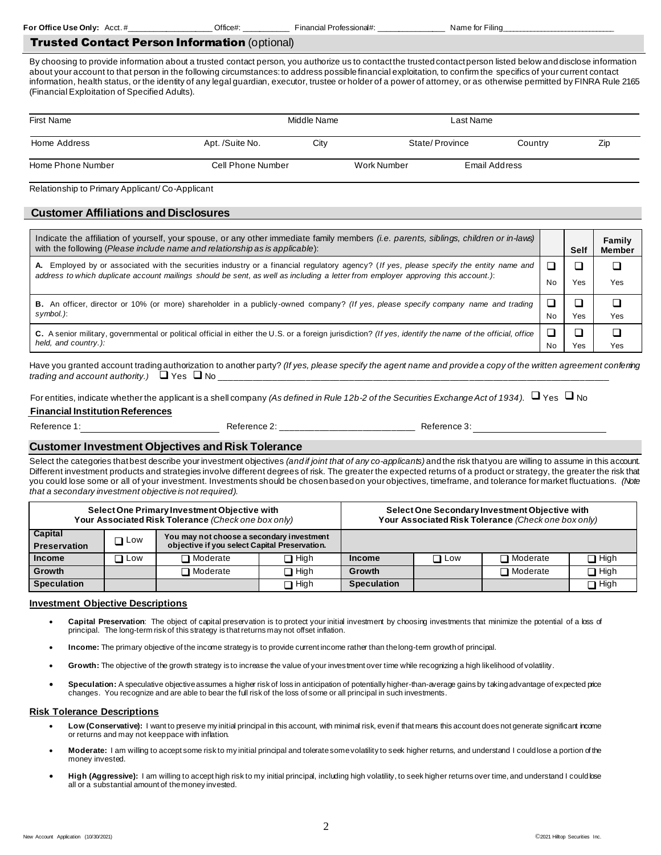#### Trusted Contact Person Information (optional)

By choosing to provide information about a trusted contact person, you authorize us to contact the trusted contact person listed below and disclose information about your account to that person in the following circumstances: to address possible financial exploitation, to confirm the specifics of your current contact information, health status, or the identity of any legal guardian, executor, trustee or holder of a power of attorney, or as otherwise permitted by FINRA Rule 2165 (Financial Exploitation of Specified Adults).

| First Name        | Middle Name       |      | Last Name   |                |         |     |
|-------------------|-------------------|------|-------------|----------------|---------|-----|
| Home Address      | Apt. /Suite No.   | City |             | State/Province | Country | Zip |
| Home Phone Number | Cell Phone Number |      | Work Number | Email Address  |         |     |

Relationship to Primary Applicant/ Co-Applicant

## **Customer Affiliations and Disclosures**

| Indicate the affiliation of yourself, your spouse, or any other immediate family members <i>(i.e. parents, siblings, children or in-laws)</i><br>with the following (Please include name and relationship as is applicable):                                                 |    | Self | Family<br><b>Member</b> |
|------------------------------------------------------------------------------------------------------------------------------------------------------------------------------------------------------------------------------------------------------------------------------|----|------|-------------------------|
| A. Employed by or associated with the securities industry or a financial regulatory agency? (If yes, please specify the entity name and<br>address to which duplicate account mailings should be sent, as well as including a letter from employer approving this account.): | No | Yes  | Yes                     |
| B. An officer, director or 10% (or more) shareholder in a publicly-owned company? (If yes, please specify company name and trading<br>symbol.):                                                                                                                              | No | Yes  | Yes                     |
| C. A senior military, governmental or political official in either the U.S. or a foreign jurisdiction? (If yes, identify the name of the official, office<br>held, and country.):                                                                                            | No | Yes  | Yes                     |

Have you granted account trading authorization to another party? *(If yes, please specify the agent name and provide a copy of the written agreement conferring trading and account authority.)* □ Yes □ No

For entities, indicate whether the applicant is a shell company *(As defined in Rule 12b-2 of the Securities Exchange Act of 1934)*. ❑ Yes ❑ No **Financial InstitutionReferences**

Reference 1: Reference 2: \_\_\_\_\_\_\_\_\_\_\_\_\_\_\_\_\_\_\_\_\_\_\_\_\_\_\_\_ Reference 3:

### **Customer Investment Objectives and Risk Tolerance**

Select the categories that best describe your investment objectives *(and if joint that of any co-applicants)* and the risk that you are willing to assume in this account. Different investment products and strategies involve different degrees of risk. The greater the expected returns of a product or strategy, the greater the risk that you could lose some or all of your investment. Investments should be chosen based on your objectives, timeframe, and tolerance for market fluctuations. *(Note that a secondary investment objective is not required).*

|                                |               | Select One Primary Investment Objective with<br>Your Associated Risk Tolerance (Check one box only) |        | Select One Secondary Investment Objective with<br>Your Associated Risk Tolerance (Check one box only) |              |                 |             |
|--------------------------------|---------------|-----------------------------------------------------------------------------------------------------|--------|-------------------------------------------------------------------------------------------------------|--------------|-----------------|-------------|
| Capital<br><b>Preservation</b> | $\square$ Low | You may not choose a secondary investment<br>objective if you select Capital Preservation.          |        |                                                                                                       |              |                 |             |
| <b>Income</b>                  | ∩ Low         | $\Box$ Moderate                                                                                     | ∩ High | Income                                                                                                | $\sqcap$ Low | $\Box$ Moderate | $\Box$ High |
| Growth                         |               | $\Box$ Moderate                                                                                     | ר High | Growth                                                                                                |              | $\Box$ Moderate | $\Box$ High |
| <b>Speculation</b>             |               |                                                                                                     | ∩ High | <b>Speculation</b>                                                                                    |              |                 | $\Box$ High |

#### **Investment Objective Descriptions**

- Capital Preservation: The object of capital preservation is to protect your initial investment by choosing investments that minimize the potential of a loss of principal. The long-term risk of this strategy is that returns may not offset inflation.
- **Income:** The primary objective of the income strategy is to provide current income rather than the long-term growth of principal.
- Growth: The objective of the growth strategy is to increase the value of your investment over time while recognizing a high likelihood of volatility.
- **Speculation:** A speculative objective assumes a higher risk of loss in anticipation of potentially higher-than-average gains by taking advantage of expected price changes. You recognize and are able to bear the full risk of the loss of some or all principal in such investments.

#### **Risk Tolerance Descriptions**

- Low (Conservative): I want to preserve my initial principal in this account, with minimal risk, even if that means this account does not generate significant income or returns and may not keep pace with inflation.
- **Moderate:** I am willing to accept some risk to my initial principal and tolerate some volatility to seek higher returns, and understand I could lose a portion of the money invested.
- **High (Aggressive):** I am willing to accept high risk to my initial principal, including high volatility, to seek higher returns over time, and understand I could lose all or a substantial amount of the money invested.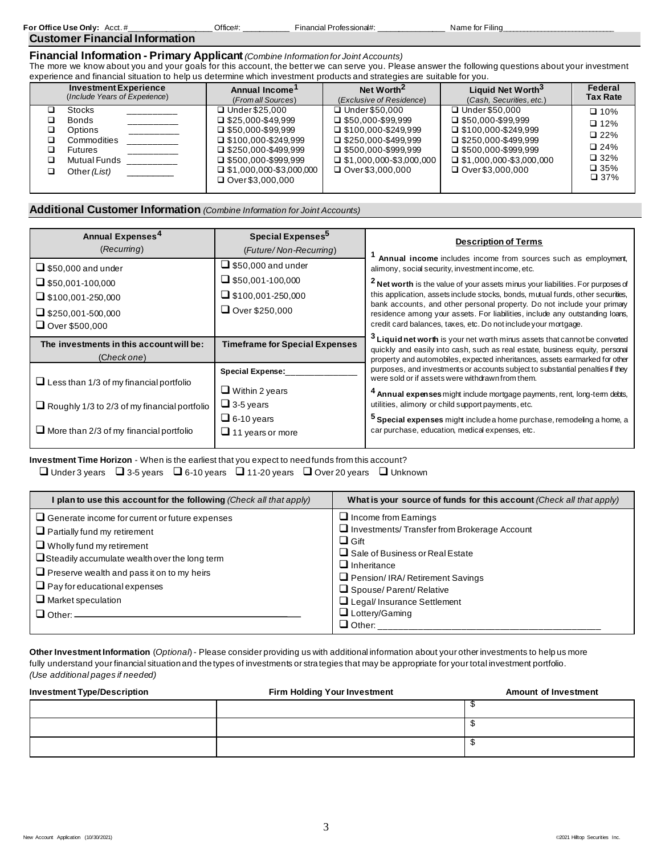| For Office Use Only: | $Acct.$ # |  | Office#: | Financial Professional#: | Name for Filing |
|----------------------|-----------|--|----------|--------------------------|-----------------|
|                      |           |  |          |                          |                 |

# **Customer Financial Information**

**Financial Information - Primary Applicant***(Combine Information for Joint Accounts)*

The more we know about you and your goals for this account, the better we can serve you. Please answer the following questions about your investment experience and financial situation to help us determine which investment products and strategies are suitable for you.

| <b>Investment Experience</b>                                                                              | Annual Income'                                                                                                                                                                                                             | Net Worth <sup>2</sup>                                                                                                                                                                              | Liquid Net Worth <sup>3</sup>                                                                                                                                                                  | Federal                                                                                                       |
|-----------------------------------------------------------------------------------------------------------|----------------------------------------------------------------------------------------------------------------------------------------------------------------------------------------------------------------------------|-----------------------------------------------------------------------------------------------------------------------------------------------------------------------------------------------------|------------------------------------------------------------------------------------------------------------------------------------------------------------------------------------------------|---------------------------------------------------------------------------------------------------------------|
| (Include Years of Experience)                                                                             | (From all Sources)                                                                                                                                                                                                         | (Exclusive of Residence)                                                                                                                                                                            | (Cash, Securities, etc.)                                                                                                                                                                       | <b>Tax Rate</b>                                                                                               |
| Stocks<br><b>Bonds</b><br><b>Options</b><br>Commodities<br><b>Futures</b><br>Mutual Funds<br>Other (List) | □ Under \$25,000<br>$\Box$ \$25.000-\$49.999<br>$\Box$ \$50.000-\$99.999<br>$\Box$ \$100.000-\$249.999<br>$\Box$ \$250,000-\$499,999<br>$\Box$ \$500.000-\$999.999<br>$\Box$ \$1,000,000-\$3,000,000<br>□ Over \$3,000,000 | □ Under \$50,000<br>$\Box$ \$50.000-\$99.999<br>$\Box$ \$100.000-\$249.999<br>$\Box$ \$250.000-\$499.999<br>$\Box$ \$500,000-\$999,999<br>$\Box$ \$1,000,000-\$3,000,000<br>$\Box$ Over \$3,000,000 | □ Under \$50,000<br>$\Box$ \$50.000-\$99.999<br>$\Box$ \$100.000-\$249.999<br>$\Box$ \$250.000-\$499.999<br>$\Box$ \$500,000-\$999,999<br>$\Box$ \$1,000,000-\$3,000,000<br>□ Over \$3,000,000 | $\Box$ 10%<br>$\Box$ 12%<br>$\square$ 22%<br>$\square$ 24%<br>$\square$ 32%<br>$\square$ 35%<br>$\square$ 37% |

# **Additional Customer Information** *(Combine Information for Joint Accounts)*

| Annual Expenses <sup>4</sup>                        | Special Expenses <sup>5</sup>         | <b>Description of Terms</b>                                                                                                                                           |  |  |
|-----------------------------------------------------|---------------------------------------|-----------------------------------------------------------------------------------------------------------------------------------------------------------------------|--|--|
| (Recurring)                                         | (Future/Non-Recurring)                | Annual income includes income from sources such as employment,                                                                                                        |  |  |
| $\Box$ \$50,000 and under                           | $\Box$ \$50,000 and under             | alimony, social security, investment income, etc.                                                                                                                     |  |  |
| $\Box$ \$50,001-100,000                             | $\Box$ \$50,001-100,000               | A Net worth is the value of your assets minus your liabilities. For purposes of                                                                                       |  |  |
| $\Box$ \$100,001-250,000                            | $\Box$ \$100,001-250,000              | this application, assets include stocks, bonds, mutual funds, other securities,                                                                                       |  |  |
| $\Box$ \$250,001-500,000                            | $\Box$ Over \$250,000                 | bank accounts, and other personal property. Do not include your primary<br>residence among your assets. For liabilities, include any outstanding loans,               |  |  |
| Over \$500,000                                      |                                       | credit card balances, taxes, etc. Do not include your mortgage.                                                                                                       |  |  |
| The investments in this account will be:            | <b>Timeframe for Special Expenses</b> | <sup>5</sup> Liquid net worth is your net worth minus assets that cannot be converted<br>quickly and easily into cash, such as real estate, business equity, personal |  |  |
| (Check one)                                         |                                       | property and automobiles, expected inheritances, assets earmarked for other                                                                                           |  |  |
| $\Box$ Less than 1/3 of my financial portfolio      | <b>Special Expense:</b>               | purposes, and investments or accounts subject to substantial penalties if they<br>were sold or if assets were withdrawn from them.                                    |  |  |
|                                                     | $\Box$ Within 2 years                 | Annual expenses might include mortgage payments, rent, long-term debts,                                                                                               |  |  |
| $\Box$ Roughly 1/3 to 2/3 of my financial portfolio | $\Box$ 3-5 years                      | utilities, alimony or child support payments, etc.                                                                                                                    |  |  |
|                                                     | $\Box$ 6-10 years                     | <sup>5</sup> Special expenses might include a home purchase, remodeling a home, a                                                                                     |  |  |
| $\Box$ More than 2/3 of my financial portfolio      | $\Box$ 11 years or more               | car purchase, education, medical expenses, etc.                                                                                                                       |  |  |

**Investment Time Horizon** - When is the earliest that you expect to need funds from this account? ❑ Under 3 years ❑ 3-5 years ❑ 6-10 years ❑ 11-20 years ❑ Over 20 years ❑ Unknown

| plan to use this account for the following (Check all that apply)                                                                                                                                                                                                                                                                         | What is your source of funds for this account (Check all that apply)                                                                                                                                                                                                                          |
|-------------------------------------------------------------------------------------------------------------------------------------------------------------------------------------------------------------------------------------------------------------------------------------------------------------------------------------------|-----------------------------------------------------------------------------------------------------------------------------------------------------------------------------------------------------------------------------------------------------------------------------------------------|
| $\Box$ Generate income for current or future expenses<br>$\Box$ Partially fund my retirement<br>$\Box$ Wholly fund my retirement<br>$\Box$ Steadily accumulate wealth over the long term<br>$\Box$ Preserve wealth and pass it on to my heirs<br>$\Box$ Pay for educational expenses<br>$\Box$ Market speculation<br>$\Box$ Other: $\Box$ | $\Box$ Income from Earnings<br>$\Box$ Investments/ Transfer from Brokerage Account<br>$\Box$ Gift<br>$\Box$ Sale of Business or Real Estate<br>$\Box$ Inheritance<br>$\Box$ Pension/ IRA/ Retirement Savings<br>Spouse/Parent/Relative<br>Legal/Insurance Settlement<br>$\Box$ Lottery/Gaming |
|                                                                                                                                                                                                                                                                                                                                           | $\Box$ Other:                                                                                                                                                                                                                                                                                 |

**Other Investment Information** (*Optional*) - Please consider providing us with additional information about your other investments to help us more fully understand your financial situation and the types of investments or strategies that may be appropriate for your total investment portfolio. *(Use additional pages if needed)*

| <b>Investment Type/Description</b> | <b>Firm Holding Your Investment</b> | <b>Amount of Investment</b> |
|------------------------------------|-------------------------------------|-----------------------------|
|                                    |                                     |                             |
|                                    |                                     |                             |
|                                    |                                     |                             |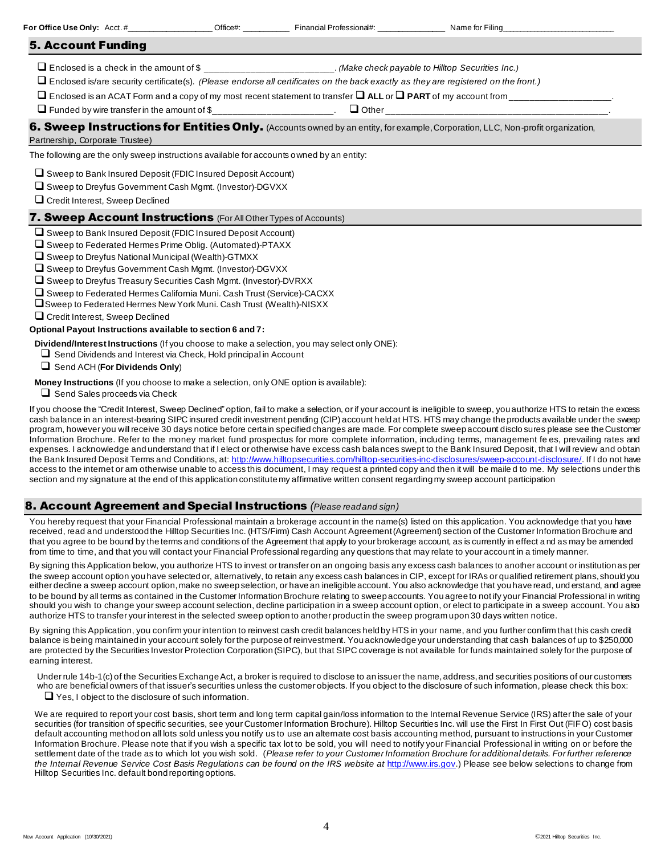|                                                                                                                                                                                                                                                                                                                                                                                                                                                                                                                 |  | For Office Use Only: Acct. # Office#: Office#: Financial Professional#: Name for Filing      |                                                                                                                                |  |  |  |  |
|-----------------------------------------------------------------------------------------------------------------------------------------------------------------------------------------------------------------------------------------------------------------------------------------------------------------------------------------------------------------------------------------------------------------------------------------------------------------------------------------------------------------|--|----------------------------------------------------------------------------------------------|--------------------------------------------------------------------------------------------------------------------------------|--|--|--|--|
| <b>5. Account Funding</b>                                                                                                                                                                                                                                                                                                                                                                                                                                                                                       |  |                                                                                              |                                                                                                                                |  |  |  |  |
| □ Enclosed is a check in the amount of \$_______________________. (Make check payable to Hilltop Securities Inc.)<br>$\Box$ Enclosed is/are security certificate(s). (Please endorse all certificates on the back exactly as they are registered on the front.)<br>Or Funded by wire transfer in the amount of \$_________________________. Other__                                                                                                                                                             |  |                                                                                              |                                                                                                                                |  |  |  |  |
| Partnership, Corporate Trustee)                                                                                                                                                                                                                                                                                                                                                                                                                                                                                 |  |                                                                                              | 6. Sweep Instructions for Entities Only. (Accounts owned by an entity, for example, Corporation, LLC, Non-profit organization, |  |  |  |  |
| The following are the only sweep instructions available for accounts owned by an entity:                                                                                                                                                                                                                                                                                                                                                                                                                        |  |                                                                                              |                                                                                                                                |  |  |  |  |
| $\Box$ Sweep to Bank Insured Deposit (FDIC Insured Deposit Account)<br>$\Box$ Sweep to Dreyfus Government Cash Mgmt. (Investor)-DGVXX<br>$\Box$ Credit Interest, Sweep Declined                                                                                                                                                                                                                                                                                                                                 |  |                                                                                              |                                                                                                                                |  |  |  |  |
| <b>7. Sweep Account Instructions</b> (For All Other Types of Accounts)                                                                                                                                                                                                                                                                                                                                                                                                                                          |  |                                                                                              |                                                                                                                                |  |  |  |  |
| Sweep to Bank Insured Deposit (FDIC Insured Deposit Account)<br>Sweep to Federated Hermes Prime Oblig. (Automated)-PTAXX<br>Sweep to Dreyfus National Municipal (Wealth)-GTMXX<br>Sweep to Dreyfus Government Cash Mgmt. (Investor)-DGVXX<br>$\Box$ Sweep to Dreyfus Treasury Securities Cash Mgmt. (Investor)-DVRXX<br>$\Box$ Sweep to Federated Hermes California Muni. Cash Trust (Service)-CACXX<br>□ Sweep to Federated Hermes New York Muni. Cash Trust (Wealth)-NISXX<br>Credit Interest, Sweep Declined |  |                                                                                              |                                                                                                                                |  |  |  |  |
| Optional Payout Instructions available to section 6 and 7:                                                                                                                                                                                                                                                                                                                                                                                                                                                      |  |                                                                                              |                                                                                                                                |  |  |  |  |
| $\Box$ Send Dividends and Interest via Check, Hold principal in Account<br>$\Box$ Send ACH (For Dividends Only)                                                                                                                                                                                                                                                                                                                                                                                                 |  | Dividend/Interest Instructions (If you choose to make a selection, you may select only ONE): |                                                                                                                                |  |  |  |  |
| Money Instructions (If you choose to make a selection, only ONE option is available):<br>$\Box$ Send Sales proceeds via Check                                                                                                                                                                                                                                                                                                                                                                                   |  |                                                                                              |                                                                                                                                |  |  |  |  |

If you choose the "Credit Interest, Sweep Declined" option, fail to make a selection, or if your account is ineligible to sweep, you authorize HTS to retain the excess cash balance in an interest-bearing SIPC insured credit investment pending (CIP) account held at HTS. HTS may change the products available under the sweep program, however you will receive 30 days notice before certain specified changes are made. For complete sweep account disclo sures please see the Customer Information Brochure. Refer to the money market fund prospectus for more complete information, including terms, management fe es, prevailing rates and expenses. I acknowledge and understand that if I elect or otherwise have excess cash balances swept to the Bank Insured Deposit, that I will review and obtain the Bank Insured Deposit Terms and Conditions, at: <http://www.hilltopsecurities.com/hilltop-securities-inc-disclosures/sweep-account-disclosure/>. If I do not have access to the internet or am otherwise unable to access this document, I may request a printed copy and then it will be maile d to me. My selections under this section and my signature at the end of this application constitute my affirmative written consent regarding my sweep account participation

### 8. Account Agreement and Special Instructions *(Please read and sign)*

You hereby request that your Financial Professional maintain a brokerage account in the name(s) listed on this application. You acknowledge that you have received, read and understood the Hilltop Securities Inc. (HTS/Firm) Cash Account Agreement (Agreement) section of the Customer Information Brochure and that you agree to be bound by the terms and conditions of the Agreement that apply to your brokerage account, as is currently in effect a nd as may be amended from time to time, and that you will contact your Financial Professional regarding any questions that may relate to your account in a timely manner.

By signing this Application below, you authorize HTS to invest or transfer on an ongoing basis any excess cash balances to another account or institution as per the sweep account option you have selected or, alternatively, to retain any excess cash balances in CIP, except for IRAs or qualified retirement plans, should you either decline a sweep account option, make no sweep selection, or have an ineligible account. You also acknowledge that you have read, und erstand, and agree to be bound by all terms as contained in the Customer Information Brochure relating to sweep accounts. You agree to not ify your Financial Professional in writing should you wish to change your sweep account selection, decline participation in a sweep account option, or elect to participate in a sweep account. You also authorize HTS to transfer your interest in the selected sweep option to another product in the sweep program upon 30 days written notice.

By signing this Application, you confirm your intention to reinvest cash credit balances held by HTS in your name, and you further confirm that this cash credit balance is being maintained in your account solely for the purpose of reinvestment. You acknowledge your understanding that cash balances of up to \$250,000 are protected by the Securities Investor Protection Corporation (SIPC), but that SIPC coverage is not available for funds maintained solely for the purpose of earning interest.

Under rule 14b-1(c) of the Securities Exchange Act, a broker is required to disclose to an issuer the name, address, and securities positions of our customers who are beneficial owners of that issuer's securities unless the customer objects. If you object to the disclosure of such information, please check this box:  $\Box$  Yes, I object to the disclosure of such information.

We are required to report your cost basis, short term and long term capital gain/loss information to the Internal Revenue Service (IRS) after the sale of your securities (for transition of specific securities, see your Customer Information Brochure). Hilltop Securities Inc. will use the First In First Out (FIFO) cost basis default accounting method on all lots sold unless you notify us to use an alternate cost basis accounting method, pursuant to instructions in your Customer Information Brochure. Please note that if you wish a specific tax lot to be sold, you will need to notify your Financial Professional in writing on or before the settlement date of the trade as to which lot you wish sold. (*Please refer to your Customer Information Brochure for additional details. For further reference the Internal Revenue Service Cost Basis Regulations can be found on the IRS website at* [http://www.irs.gov](http://www.irs.gov/irb/2010-47_IRB/pt04.html).) Please see below selections to change from Hilltop Securities Inc. default bond reporting options.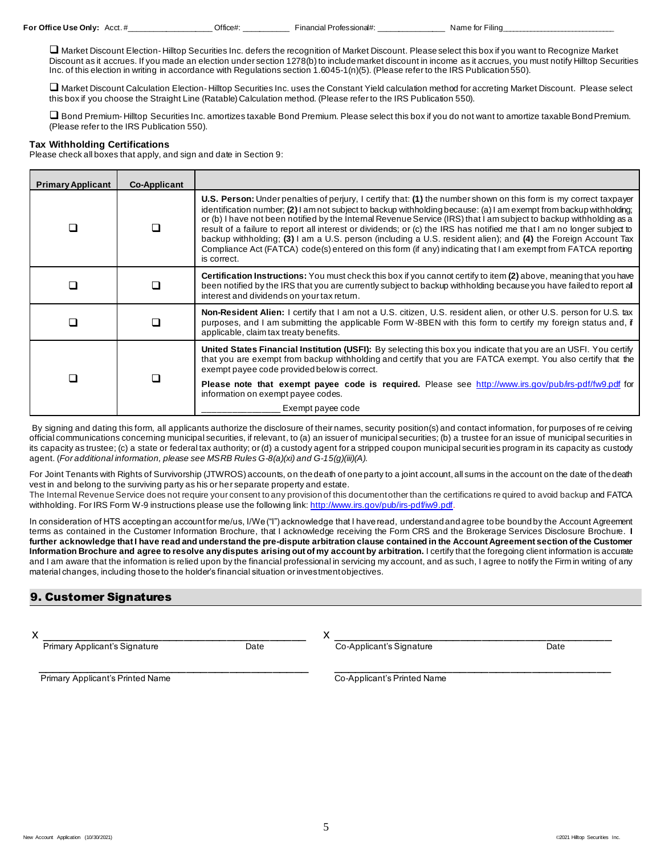**For Office Use Only:** Acct. # **We are all Contract Office #:** All Professional Professional #: **We are for Filing** 

❑ Market Discount Election- Hilltop Securities Inc. defers the recognition of Market Discount. Please select this box if you want to Recognize Market Discount as it accrues. If you made an election under section 1278(b) to include market discount in income as it accrues, you must notify Hilltop Securities Inc. of this election in writing in accordance with Regulations section 1.6045-1(n)(5). (Please refer to the IRS Publication 550).

❑ Market Discount Calculation Election- Hilltop Securities Inc. uses the Constant Yield calculation method for accreting Market Discount. Please select this box if you choose the Straight Line (Ratable) Calculation method. (Please refer to the IRS Publication 550).

❑ Bond Premium- Hilltop Securities Inc. amortizes taxable Bond Premium. Please select this box if you do not want to amortize taxable Bond Premium. (Please refer to the IRS Publication 550).

#### **Tax Withholding Certifications**

Please check all boxes that apply, and sign and date in Section 9:

| <b>Primary Applicant</b> | <b>Co-Applicant</b> |                                                                                                                                                                                                                                                                                                                                                                                                                                                                                                                                                                                                                                                                                                                                         |  |
|--------------------------|---------------------|-----------------------------------------------------------------------------------------------------------------------------------------------------------------------------------------------------------------------------------------------------------------------------------------------------------------------------------------------------------------------------------------------------------------------------------------------------------------------------------------------------------------------------------------------------------------------------------------------------------------------------------------------------------------------------------------------------------------------------------------|--|
|                          |                     | U.S. Person: Under penalties of perjury, I certify that: (1) the number shown on this form is my correct taxpayer<br>identification number; (2) am not subject to backup withholding because: (a) I am exempt from backup withholding;<br>or (b) I have not been notified by the Internal Revenue Service (IRS) that I am subject to backup withholding as a<br>result of a failure to report all interest or dividends; or (c) the IRS has notified me that I am no longer subject to<br>backup withholding; (3) I am a U.S. person (including a U.S. resident alien); and (4) the Foreign Account Tax<br>Compliance Act (FATCA) code(s) entered on this form (if any) indicating that I am exempt from FATCA reporting<br>is correct. |  |
|                          |                     | Certification Instructions: You must check this box if you cannot certify to item (2) above, meaning that you have<br>been notified by the IRS that you are currently subject to backup withholding because you have failed to report al<br>interest and dividends on your tax return.                                                                                                                                                                                                                                                                                                                                                                                                                                                  |  |
|                          |                     | Non-Resident Alien: I certify that I am not a U.S. citizen, U.S. resident alien, or other U.S. person for U.S. tax<br>purposes, and I am submitting the applicable Form W-8BEN with this form to certify my foreign status and, if<br>applicable, claim tax treaty benefits.                                                                                                                                                                                                                                                                                                                                                                                                                                                            |  |
|                          |                     | United States Financial Institution (USFI): By selecting this box you indicate that you are an USFI. You certify<br>that you are exempt from backup withholding and certify that you are FATCA exempt. You also certify that the<br>exempt payee code provided below is correct.                                                                                                                                                                                                                                                                                                                                                                                                                                                        |  |
|                          |                     | Please note that exempt payee code is required. Please see http://www.irs.gov/pub/irs-pdf/fw9.pdf for<br>information on exempt payee codes.                                                                                                                                                                                                                                                                                                                                                                                                                                                                                                                                                                                             |  |
|                          |                     | Exempt payee code                                                                                                                                                                                                                                                                                                                                                                                                                                                                                                                                                                                                                                                                                                                       |  |

By signing and dating this form, all applicants authorize the disclosure of their names, security position(s) and contact information, for purposes of re ceiving official communications concerning municipal securities, if relevant, to (a) an issuer of municipal securities; (b) a trustee for an issue of municipal securities in its capacity as trustee; (c) a state or federal tax authority; or (d) a custody agent for a stripped coupon municipal securit ies program in its capacity as custody agent. (*For additional information, please see MSRB Rules G-8(a)(xi) and G-15(g)(iii)(A).*

For Joint Tenants with Rights of Survivorship (JTWROS) accounts, on the death of one party to a joint account, all sums in the account on the date of the death vest in and belong to the surviving party as his or her separate property and estate. The Internal Revenue Service does not require your consent to any provision of this document other than the certifications re quired to avoid backup and FATCA

withholding. For IRS Form W-9 instructions please use the following link: <http://www.irs.gov/pub/irs-pdf/iw9.pdf>.

In consideration of HTS accepting an account for me/us, I/We ("I") acknowledge that I have read, understand and agree to be bound by the Account Agreement terms as contained in the Customer Information Brochure, that I acknowledge receiving the Form CRS and the Brokerage Services Disclosure Brochure. **I further acknowledge that I have read and understand the pre-dispute arbitration clause contained in the Account Agreement section of the Customer Information Brochure and agree to resolve any disputes arising out of my account by arbitration.** I certify that the foregoing client information is accurate and I am aware that the information is relied upon by the financial professional in servicing my account, and as such, I agree to notify the Firm in writing of any material changes, including those to the holder's financial situation or investment objectives.

# 9. Customer Signatures

 x \_\_\_\_\_\_\_\_\_\_\_\_\_\_\_\_\_\_\_\_\_\_\_\_\_\_\_\_\_\_\_\_\_\_\_\_\_ Primary Applicant's Signature **Communist Contracts** Date

x \_\_\_\_\_\_\_\_\_\_\_\_\_\_\_\_\_\_\_\_\_\_\_\_\_\_\_\_\_\_\_\_\_\_\_\_\_\_\_ Co-Applicant's Signature Date

 $\overline{\phantom{a}}$  , and the contract of the contract of the contract of the contract of the contract of the contract of the contract of the contract of the contract of the contract of the contract of the contract of the contrac Primary Applicant's Printed Name

Co-Applicant's Printed Name

 $\overline{\phantom{a}}$  ,  $\overline{\phantom{a}}$  ,  $\overline{\phantom{a}}$  ,  $\overline{\phantom{a}}$  ,  $\overline{\phantom{a}}$  ,  $\overline{\phantom{a}}$  ,  $\overline{\phantom{a}}$  ,  $\overline{\phantom{a}}$  ,  $\overline{\phantom{a}}$  ,  $\overline{\phantom{a}}$  ,  $\overline{\phantom{a}}$  ,  $\overline{\phantom{a}}$  ,  $\overline{\phantom{a}}$  ,  $\overline{\phantom{a}}$  ,  $\overline{\phantom{a}}$  ,  $\overline{\phantom{a}}$